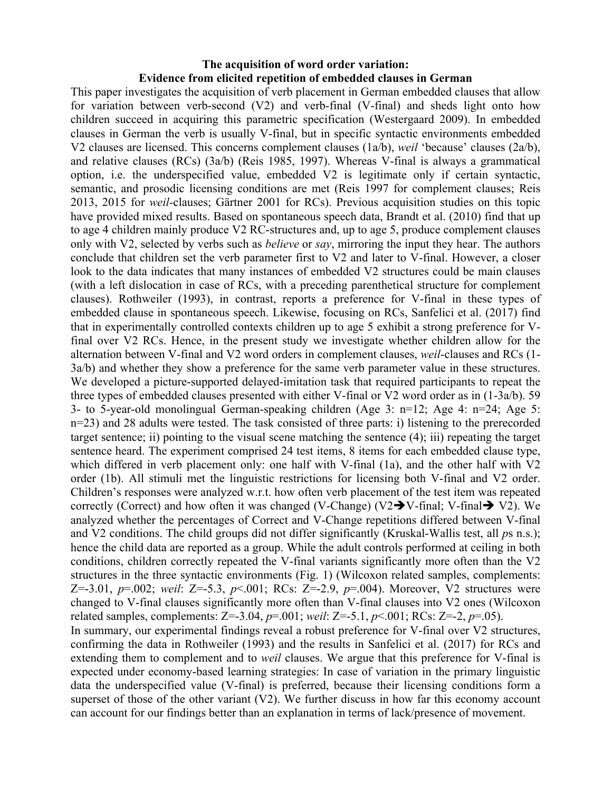## **The acquisition of word order variation: Evidence from elicited repetition of embedded clauses in German**

This paper investigates the acquisition of verb placement in German embedded clauses that allow for variation between verb-second (V2) and verb-final (V-final) and sheds light onto how children succeed in acquiring this parametric specification (Westergaard 2009). In embedded clauses in German the verb is usually V-final, but in specific syntactic environments embedded V2 clauses are licensed. This concerns complement clauses (1a/b), *weil* 'because' clauses (2a/b), and relative clauses (RCs) (3a/b) (Reis 1985, 1997). Whereas V-final is always a grammatical option, i.e. the underspecified value, embedded V2 is legitimate only if certain syntactic, semantic, and prosodic licensing conditions are met (Reis 1997 for complement clauses; Reis 2013, 2015 for *weil-*clauses; Gärtner 2001 for RCs). Previous acquisition studies on this topic have provided mixed results. Based on spontaneous speech data, Brandt et al. (2010) find that up to age 4 children mainly produce V2 RC-structures and, up to age 5, produce complement clauses only with V2, selected by verbs such as *believe* or *say*, mirroring the input they hear. The authors conclude that children set the verb parameter first to V2 and later to V-final. However, a closer look to the data indicates that many instances of embedded V2 structures could be main clauses (with a left dislocation in case of RCs, with a preceding parenthetical structure for complement clauses). Rothweiler (1993), in contrast, reports a preference for V-final in these types of embedded clause in spontaneous speech. Likewise, focusing on RCs, Sanfelici et al. (2017) find that in experimentally controlled contexts children up to age 5 exhibit a strong preference for Vfinal over V2 RCs. Hence, in the present study we investigate whether children allow for the alternation between V-final and V2 word orders in complement clauses, *weil*-clauses and RCs (1- 3a/b) and whether they show a preference for the same verb parameter value in these structures. We developed a picture-supported delayed-imitation task that required participants to repeat the three types of embedded clauses presented with either V-final or V2 word order as in (1-3a/b). 59 3- to 5-year-old monolingual German-speaking children (Age 3: n=12; Age 4: n=24; Age 5: n=23) and 28 adults were tested. The task consisted of three parts: i) listening to the prerecorded target sentence; ii) pointing to the visual scene matching the sentence (4); iii) repeating the target sentence heard. The experiment comprised 24 test items, 8 items for each embedded clause type, which differed in verb placement only: one half with V-final (1a), and the other half with V2 order (1b). All stimuli met the linguistic restrictions for licensing both V-final and V2 order. Children's responses were analyzed w.r.t. how often verb placement of the test item was repeated correctly (Correct) and how often it was changed (V-Change) (V2 $\rightarrow$ V-final; V-final $\rightarrow$  V2). We analyzed whether the percentages of Correct and V-Change repetitions differed between V-final and V2 conditions. The child groups did not differ significantly (Kruskal-Wallis test, all *p*s n.s.); hence the child data are reported as a group. While the adult controls performed at ceiling in both conditions, children correctly repeated the V-final variants significantly more often than the V2 structures in the three syntactic environments (Fig. 1) (Wilcoxon related samples, complements: Z=-3.01, *p*=.002; *weil*: Z=-5.3, *p*<.001; RCs: Z=-2.9, *p*=.004). Moreover, V2 structures were changed to V-final clauses significantly more often than V-final clauses into V2 ones (Wilcoxon related samples, complements: Z=-3.04, *p*=.001; *weil*: Z=-5.1, *p*<.001; RCs: Z=-2, *p*=.05). In summary, our experimental findings reveal a robust preference for V-final over V2 structures, confirming the data in Rothweiler (1993) and the results in Sanfelici et al. (2017) for RCs and extending them to complement and to *weil* clauses. We argue that this preference for V-final is expected under economy-based learning strategies: In case of variation in the primary linguistic data the underspecified value (V-final) is preferred, because their licensing conditions form a superset of those of the other variant (V2). We further discuss in how far this economy account can account for our findings better than an explanation in terms of lack/presence of movement.